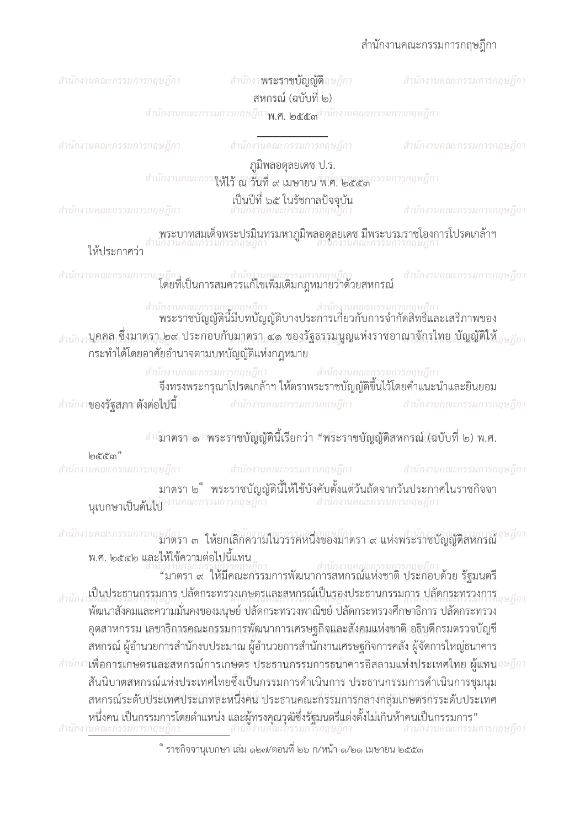สำนักงานคณะกรรมการกถษภีกา

สำนักงา**พระราชบัญญัติ**ฤษฎีกา ิสหกรณ์ (ฉบับที่ ๒)

สำนักงานคณะกรรมการกฤษฎีกา**พ.ศ. ๒๕๕๓**สำนักงานคณะกรรมการกฤษฎีกา

สำนักงานคณะกรรมการกฤษฎีกา

สำนักงานคณะกรรมการกฤษฎีกา

## สำนักงานคณะกรรมการกฤษฎีกา

สำนักงานคณะกรรมการกถษภีกา

ภูมิพลอดุลยเดช ป.ร.

สำนักงานคณะกรร**าเฟ<sub>ล้</sub>าญ จั๊กที่ ๙ เมษายน ฟิ.ศ. ๒๕๕๓** 

เป็นปีที่ ๖๕ ในรัชกาลปัจจุบัน<br>สำนักงานคณะกรรมการกฤษฎีกา

สำนักงานคณะกรรมการกฤษฎีกา

สำนักงานคณะกรรมการกฤษฎีกา

พระบาทสมเด็จพระปรมินทรมหาภูมิพลอดุลยเดช มีพระบรมราชโองการโปรดเกล้าฯ<br>เกงานคณะกรรมการกฤษฎีกา

ให้เธะกาศา่า

สำนักงานคณะกรรมการกฤษฎีกา<br>โดยที่เป็นการสมควรแก้ไขเพิ่มเติมกฎหมายว่าด้วยสหกรณ์ สำนักงานคณะกรรมการกฤษฎีกา

## สำนักงานคณะกรรมการกฤษฎีกา<br>พระราชบัญญัตินี้มีบทบัญญัติบางประการเกี่ยวกับการจำกัดสิทธิ์และเสรีภาพของ

<sub>สำนักงา</sub>บุคคล ซึ่งมาตรา ๒๙ ประกอบกับมาตรา ๔๑ ของรัฐธรรมนูญแห่งราชอาณาจักรไทย บัญญัติให้<sub>ภษภีกา</sub> กระทำได้โดยอาศัยอำนาจตามบทบัญญัติแห่งกฎหมาย

> สำนักงานคณะกรรมการกถษฎีกา สำนักงานคณะกรรมการกฤษฎีกา

จึงทรงพระกรุณาโปรดเกล้าฯ ให้ตราพระราชบัญญัติขึ้นไว้โดยคำแนะนำและยินยอม

สำนักงา**ของรัฐสภาเดิ้งต่อไปนี้**า สำนักงานคณะกรรมการกฤษฎีกา สำนักงานคณะกรรมการกฤษฎีกา

สำเขาตราวดาวพระราชบัญญัตินี้เรียกว่า "พระราชบัญญัติสหกรณ์ (ฉบับที่ ๒) พ.ศ.

| l෨ඳී <i>'</i> ඳී' ෆ <sup>"</sup> |                                                                                     |  |
|----------------------------------|-------------------------------------------------------------------------------------|--|
|                                  | รำนักงานคณะกรรมการกฤษฎีกา สำนักงานคณะกรรมการกฤษฎีกา สำนักงานคณะกรรมการกฤษฎีกา       |  |
|                                  | มาตรา ๒ ຶ พระราชบัญญัตินี้ให้ใช้บังคับตั้งแต่วันถัดจากวันประกาศในราชกิจจา           |  |
|                                  | <b>นุเบกษาเป็นต้นไบ</b> ้ <sup>จานคณะกรรมการกฤษฎีกา สำนักงานคณะกรรมการกฤษฎีกา</sup> |  |

สำนักงานคณะกรรมการกฤษฎีการา ๓ ให้ยกเลิกความในวรรคหนึ่งของมาตรา ๙ แห่งพระราชบัญญัติสหกรณ์ พ.ศ. ๒๕๔๒ และให้ใช้ความต่อไปนี้แทน

วักงานคณะกรรมการกฤษฎีกา<br>"มาตรา ๙ ให้มีคณะกรรมการพัฒนาการสหกรณ์แห่งชาติ ประกอบด้วย รัฐมนตรี ้เป็นประธานกรรมการ ปลัดกระทรวงเกษตรและสหกรณ์เป็นรองประธานกรรมการ ปลัดกระทรวงการ ้างตนาสังคมและความมั่นคงของมนุษย์ ปลัดกระทรวงพาณิชย์ ปลัดกระทรวงศึกษาธิการ ปลัดกระทรวง ้อตสาหกรรม เลขาธิการคณะกรรมการพัฒนาการเศรษฐกิจและสังคมแห่งชาติ อธิบดีกรมตรวจบัญชี ิสหกรณ์ ผู้อำนวยการสำนักงบประมาณ ผู้อำนวยการสำนักงานเศรษฐกิจการคลัง ผู้จัดการใหญ่ธนาคาร สำนักงา**เพื่อการเกษตรและ**สหกรณ์การเกษตร ประธานกรรมการธนิาคารอิสลามแห่งประเทศไทย พ้แทน*จ*ะฎีกา ้สันนิบาตสหกรณ์แห่งประเทศไทยซึ่งเป็นกรรมการดำเนินการ ประธานกรรมการดำเนินการชุมนุม สหกรณ์ระดับประเทศประเภทละหนึ่งคน ประธานคณะกรรมการกลางกลุ่มเกษตรกรระดับประเทศ หนึ่งคน เป็นกรรมการโดยตำแหน่ง และผู้ทรงคุณวุฒิซึ่งรัฐมนตรีแต่งตั้งไม่เกินห้าคนเป็นกรรมการ"<br>นคณะกรรมการกฤษฎีกา สำนักงานคณะกรรมการกฤษฎีกา สำนักงานคณะกรรมการกฤษฎีกา

ราชกิจจานุเบกษา เล่ม ๑๒๗/ตอนที่ ๒๖ ก/หน้า ๑/๒๑ เมษายน ๒๕๕๓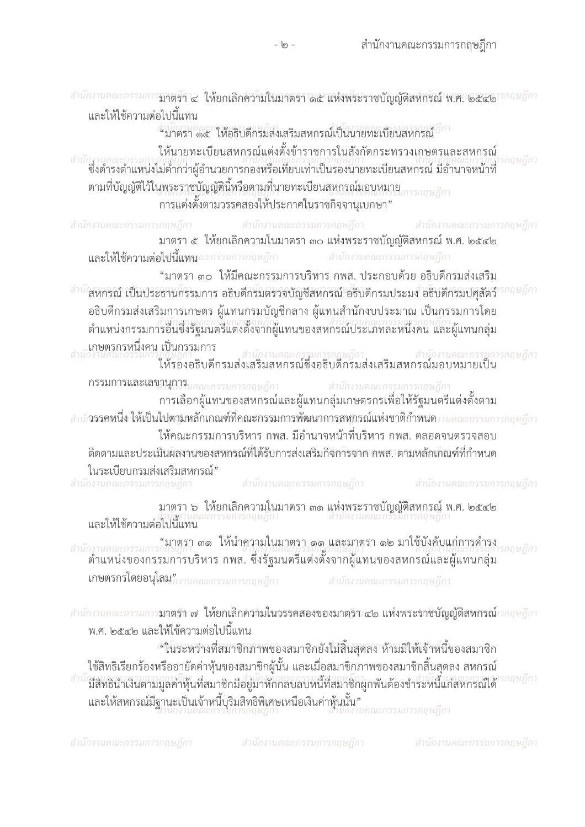และให้ใช้ความต่อไปนี้แทน ลำนักงานคุณ คุณ คำสั่งใส่สามสหกรณ์เป็นนายทะเบียนสหกรณ์ <sup>สึกา</sup> ให้นายทะเบียนสหกรณ์แต่งตั้งข้าราชการในสังกัดกระทรวงเกษตรและสหกรณ์ สำนักงานคณะกรรมการกฤษฎีกา<br>- สำนักงานคณะกรรมการกฤษฎีกา<br>- ซึ่งดำรงตำแหน่งไม่ต่ำกว่าผู้อำนวยการกองหรือเทียบเท่าเป็นรองนายทะเบียนสหกรณ์ มีอำนาจหน้าที่ ์<br>ตามที่บัญญัติไว้ในพระราชบัญญัตินี้หรือตามที่นายทะเบียนสหกรณ์มอบหมาย การแต่งตั้งตามวรรคสองให้ประกาศในราชกิจจานุเบกษา" สำนักงานคณะกรรมการกฤษฎีกา สำนักงานคณะกรรมการกฤษฎีกา สำนักงานคณะกรรมการกถษภีกา มาตรา ๕ ให้ยกเลิกความในมาตรา ๓๐ แห่งพระราชบัญญัติสหกรณ์ พ.ศ. ๒๕๔๒ และให้ใช้ความต่อไปนี้แหนูณะกรรมการกฤษฎีกา สำนักงานคณะกรรมการกฤษฎีกา "มาตรา ๓๐ ให้มีคณะกรรมการบริหาร กพส. ประกอบด้วย อธิบดีกรมส่งเสริม <sup>สำนัก</sup>สหกรณ์ เป็นประธานกรรมการ อธิบดีกรมตรวจบัญชีสหกรณ์ อธิบดีกรมประมง อธิบดีกรมปศุสัตว์" ้อธิบดีกรมส่งเสริมการเกษตร ผู้แทนกรมบัญชีกลาง ผู้แทนสำนักงบประมาณ เป็นกรรมการโดย ้ตำแหน่งกรรมการอื่นซึ่งรัฐมนตรีแต่งตั้งจากผู้แทนของสหกรณ์ประเภทละหนึ่งคน และผู้แทนกล่ม .เกษตรกรหนึ่งคน เป็นกรรมการ เ เบนผววมบาว<br>ที่ผู้บัฏกา<br>ให้รองอธิบดีกรมส่งเสริมสหกรณ์ซึ่งอธิบดีกรมส่งเสริมสหกรณ์มอบหมายเป็น **กรรมการและเลขานการ**นคณะกรรมการกฤษฎีกา สำนักงานคณะกรรมการกฤษฎีกา การเลือกผู้แทนของสหกรณ์และผู้แทนกลุ่มเกษตรกรเพื่อให้รัฐมนตรีแต่งตั้งตาม <u>สำนัก</u>รรคหนึ่ง ให้เป็นไปตามหลักเกณฑ์ที่คณะกรรมการพัฒนาการสหกรณ์แห่งชาติกำหนดงานคณะกรรมการกฤษฎีกา ให้คณะกรรมการบริหาร กพส. มีอำนาจหน้าที่บริหาร กพส. ตลอดจนตรวจสอบ ์ติดตามและประเมินผลงานของสหกรณ์ที่ได้รับการส่งเสริมกิจการจาก คพส. ตามหลักเกิณฑ์ที่กำหนด ในระเบียบกรมส่งเสริมสหกรณ์" สำนักงานคณะกรรมการกฤษฎีกา สำนักงานคณะกรรมการกฤษฎีกา สำนักงานคณะกรรมการกฤษฎีกา มาตรา ๖ ให้ยกเลิกความในมาตรา ๓๑ แห่งพระราชบัญญัติสหกรณ์ พ.ศ. ๒๕๔๒<br>สำนักงานคณะกรรมการกฤษฎีกา และให้ใช้ความต่อไปนี้แทน กำนักงานคณะกรรมการกฤษฎีกา ๓๑ ให้นำความในมาตรา ๑๑ และมาตรา ๑๒ มาใช้บังคับแก่การดำรง<br>:กำนักงานคณะกรรมการกฤษฎีกา<br>ตำแหน่งของกรรมการบริหาร กพส. ซึ่งรัฐมนตรีแต่งตั้งจากผู้แทนของสหกรณ์และผู้แทนกลุ่ม กถษภีกา

-  $\circ$  -

สำนักงานคณะกรรมการ**ฎาตรีฯ ๔ ให้ยกเลิกความในมาตรา ๑๕ แห่งพระราชบัญญัติสหกรณ์ พ.ศ. ๒๕๕๒**ารกฤษฎีกา

**เกษตรกรโดยอนุโลม"**กงานคณะกรรมการกฤษฎีกา

ี สำนักงานคณะกรรมการกฤษฎีกา

สำนักงานคณะกรรมการ**มาตรีกาฟ ให้ยกเลิกคำวันในวรรคสองของมาตรีกา๔๒ แห่งพระรักชีบัญญัติสหกรณ์**วรกฤษฎีกา พ.ศ. ๒๕๔๒ และให้ใช้ความต่อไปนี้แทน

\*"ในระหว่างที่สมาชิกภาพ์ของสมาชิกยังไม่สิ้นสุดลง ห้ามมิให้เจ้าหนึ่งองสมาชิก ู่ใช้สิทธิเรียกร้องหรืออายัดค่าหุ้นของสมาชิกผู้นั้น และเมื่อสมาชิกภาพของสมาชิกสิ้นสุดลง สหกรณ์ ้มีสิทธินำเงินตามมูลค่าหุ้นที่สมาชิกมีอยู่มาหักกลบลบหนี้ที่สมาชิกผูกพันต้องชำระหนี้แก่สหกรณ์ได้ และให้สหกรณ์มีฐานะเป็นเจ้าหนี้บุริมสิทธิพิเศษเหนือเงินค่าหุ้นนั้น"

สำนักงานคณะกรรมการกฤษฎีกา

สำนักงานคณะกรรมการกฤษฎีกา

ี สำนักงานคณะกรรมการกฤษฎีกา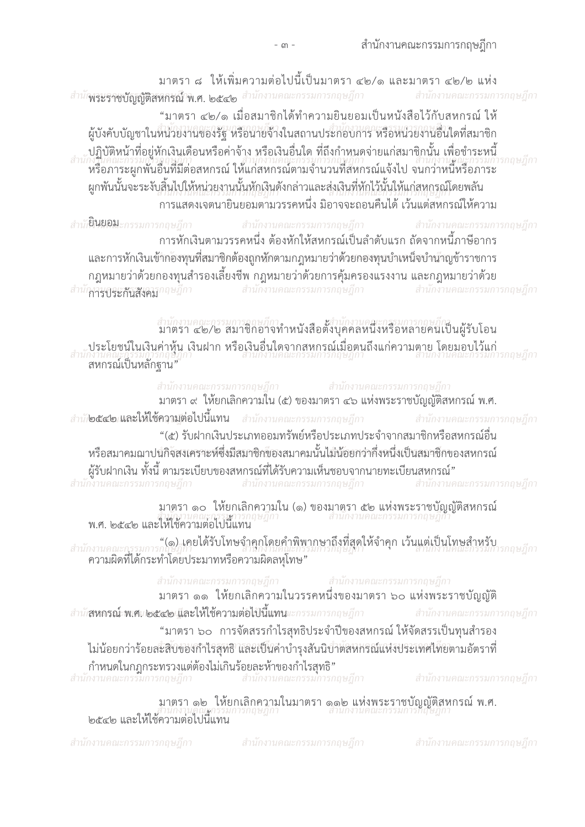มาตรา ๘ ให้เพิ่มความต่อไปนี้เป็นมาตรา ๔๒/๑ และมาตรา ๔๒/๒ แห่ง สำนักงาระราชบัญญัติสหกรณ์ใน.ศ. ๒๕๔๒ สำนักงานคณะกรรมการกฤษฎีกา สำนักงานคณะกรรมการกฤษฎีกา

"มาตรา ๔๒/๑ เมื่อสมาชิกได้ทำความยินยอมเป็นหนังสือไว้กับสหกรณ์ ให้ ผู้บังคับบัญชาในหน่วยงานของรัฐ หรือนายจ้างในสถานประกอบการ หรือหน่วยงานอื่นใดที่สมาชิก บฏิบัติหน้าที่อยู่หักเงินเดือนหรือค่าจ้าง หรือเงินอื่นใด ที่ถึงกำหนดจ่ายแก่สมาชิกนั้น เพื่อชำระหนี้<br>อำนักงานคณะกรรมการออนอีก กงานฯเผะกรรมการแถนกกา<br>หรือภาระผูกพันอื่นที่มีต่อสหกรณ์ ให้แก่สหกรณ์ตามจำนวนที่สหกรณ์แจ้งไป จนกว่าหนีหรือภาระ ผูกพันนั้นจะระงับสิ้นไปให้หน่วยงานนั้นหักเงินดังกล่าวและส่งเงินที่หักไว้นั้นให้แก่สหกรณ์โดยพลัน ้การแสดงเจตนายินยอมตามวรรคหนึ่ง มิอาจจะถอนคืนได้ เว้นแต่สหกรณ์ให้ความ

สำนัก**ยินยอม**ะกรรมการกฤษฎีกา สำนักงานคณะกรรมการกฤษฎีกา สำนักงานคณะกรรมการกฤษฎีกา ้การหักเงินตามวรรคหนึ่ง ต้องหักให้สหกรณ์เป็นลำดับแรก ถัดจากหนี้ภาษีอากร และการหักเงินเข้ากองทุนที่สมาชิกต้องถูกหักตามกฎหมายว่าด้วยกองทุนบำเหน็จบำนำญข้าราชการ ึกฎหมายว่าด้วยกองทุนสำรองเลี้ยงชีพ กฎหมายว่าด้วยการคุ้มครองแรงงาน และกฎหมายว่าด้วย<br>ใหารกระสังสังคภากษฎีกา สำนักงานคณะกรรมการกฤษฎีกา สำนักงานคณะกรรมการกฤษฎีกา สำนักการกระกับสังคภาคษฎีกา

สำนักงานคณะกรรมการออนอีกา<br>มาตรา ๔๒/๒ สมาชิกอาจทำหนังสือตั้งบุคคลหนึ่งหรือหลายคนใป็นผู้รับโอน ประโยชน์ในเงินค่าหุ้น เงินฝาก หรือเงินอื่นใดจากสหกรณ์เมื่อตนถึงแก่ความตาย โดยมอบไว้แก่<br>สำนักงานคณะกรรมการกฤษฎีกา ีสหกรณ์เป็นหลักฐาน"

สำนักงานคณะกรรมการกฤษฎีกา สำนักงานคณะกรรมการกฤษฎีกา มาตรา ๙ ให้ยกเลิกความใน (๕) ของมาตรา ๔๖ แห่งพระราชบัญญัติสหกรณ์ พ.ศ. สำนัก**่อ๕๔๒ และให้ใช้ความต่อไปนี้แทน** สำนักงานคณะกรรมการกฤษฎีกา สำนักงานคณะกรรมการกฤษฎีกา "(๕) รับฝากเงินประเภทออมทรัพย์หรือประเภทประจำจากสมาชิกหรือสหกรณ์อื่น หรือสมาคมฌาปนกิจัสงเคราะห์ซึ่งมีสมาชิกของสมาคมนั้นไม่น้อยกว่ากึ่งหนึ่งเป็นสมาชิกของสหกรณ์ ผู้รับฝากเงิน ทั้งนี้ ตามระเบียบของสหกรณ์ที่ได้รับความเห็นชอบจากนายทะเบียนสหกรณ์"<br>กงานคณะกรรมการกฤษฎีกา สำนักงานคณะกรรมการกฤษฎีกา สำนักงานคณะกรรมการกฤษฎีกา

มาตรา ๑๐ ให้ยกเลิกความใน (๑) ของมาตรา ๕๒ แห่งพระราชบัญญัติสหกรณ์<br>สำนักงานคณะกรรมการกฤษฎีกา พ.ศ. ๒๕๔๒ และให้ใช้ความต่อไปนี้แทน

สำนักงานคณะกรรมการกฤษฎีกายได้รับโทษจำคุกโดยคำพิพากษาถึงที่สุดให้จำคุก เว้นแต่เป็นโทษสำหรับ<br>ความผิดที่ได้กระทำโดยประมาทหรือความผิดลหุโทษ"<br>ความผิดที่ได้กระทำโดยประมาทหรือความผิดลหุโทษ"

สำนักงานคณะกรรมการกฤษฎีกา<br>มาตรา ๑๑ ให้ยกเลิกความในวรรคหนึ่งของมาตรา ๖๐ แห่งพระราชบัญญัติ สำนัก**สหกรณ์: พ.ศ.ก่อ๕๔๒ และให้ใช้ความต่อไปนี้แทน**แะกรรมการกฤษฎีกา ี สำนักงานคณะกรรมการกฤษฎีกา "มาตรา ๖๐ การจัดสรรกำไรสทธิประจำปีของสหกรณ์ ให้จัดสรรเป็นทนสำรอง ไม่น้อยกว่าร้อยสะสิบของกำไรสุทธิ และเป็นค่าบำรุงสันนิบำตสหกรณ์แห่งประเทศไทยตามอัตราที่ กำหนดในกฎกระทรวงแต่ต้องไม่เกินร้อยละห้าของกำไรสุทธิ"<br>สำนักงานคณะกรรมการกฤษฎีกา สำนักงานคณะกรรมการกฤษฎีกา สำนักงานคณะกรรมการกฤษฎีกา

มาตรา ๑๒ ให้ยกเลิกความในมาตรา ๑๑๒ แห่งพระราชบัญญัติสหกรณ์ พ.ศ. ๒๕๔๒ และให้ใช้ความต่อไปนี้แทน

สำนักงานคณะกรรมการกฤษฎีกา

สำนักงานคณะกรรมการกฤษฎีกา สำนักงานคณะกรรมการกฤษฎีกา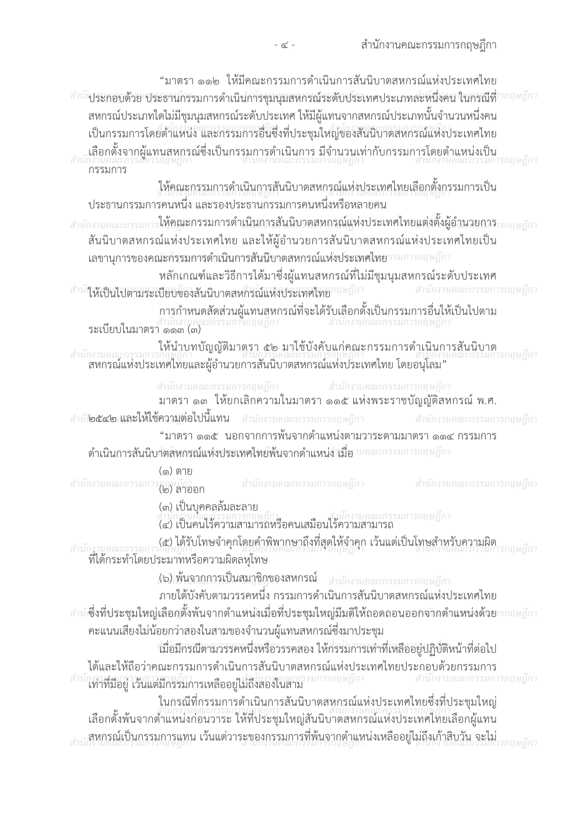"มาตรา ๑๑๒ ให้มีคณะกรรมการดำเนินการสันนิบาตสหกรณ์แห่งประเทศไทย สำนักงระกอบด้วย ประธานกรรมการดำเนินการชุมนุมสหกรณ์ระดับประเทศประเภทละหนึ่งคน ในกรณีที่<sup>เรกฤษฎีกา</sup> ิสหกรณ์ประเภทใดไม่มีชุมนุมสหกรณ์ระดับประเทศ ให้มีผู้แทนจากสหกรณ์ประเภทนั้นจำนวนหนึ่งคน เป็นกรรมการโดยตำแหน่ง และกรรมการอื่นซึ่งที่ประชุมใหญ่ของสันนิบาตสหกรณ์แห่งประเทศไทย ,เลือกตั้งจากผู้แทนสหกรณ์ซึ่งเป็นกรรมการดำเนินการ มีจำนวนเท่ากับกรรมการโดยตำแหน่งเป็น<br>กงานคณะกรรมการกฤษฎีกา กรรมการ ให้คณะกรรมการดำเนินการสันนิบาตสหกรณ์แห่งประเทศไทยเลือกตั้งกรรมการเป็น ี<br>ประธานกรรมการคนหนึ่ง และรองประธานกรรมการคนหนึ่งหรือหลายคน ี สำนักงานคณะกรรมการ**ให้อณะกรรมการดำเนินการสันนิบาตสหกรณ์แห่งประเทศไทยแต่งตั้งผู้อำนวยการ**ารกฤษฎีกา สันนิบาตสหกรณ์แห่งประเทศไทย และให้ผู้อำนวยการสันนิบาตสหกรณ์แห่งประเทศไทยเป็น เลขานุการของคณิะกรรมการดำเนินการสันนี้บาตสหกรณ์แห่งประเทศไทยรรมการกฤษฎีกา หลักเกณฑ์และวิธีการได้มาซึ่งผู้แทนสหกรณ์ที่ไม่มีชุมนุมสหกรณ์ระดับประเทศ ี สำนักงานคณะกรรมการกฤษฎีกา สำนักสัเข็นไปตามระเบียบของสันนิบาตสหกรณ์แห่งประเทศไทยาถษฎีกา การกำหนดสัดส่วนผู้แทนสหกรณ์ที่จะได้รับเลือกตั้งเป็นกรรมการอื่นให้เป็นไปตาม<br>สำนักงานคุณะกรรมการกฤษฎีกา สำนักงานคุณ<br>ระเบียบในมาตรา ๑๑๓ (๓) ายยน: .....<br>ให้นำบทบัญญัติมาตรา ๕๒ มาใช้บังคับแก่คณะกรรมการดำเนินการสั้นนิบาต<br>สานกานคณะกรรมการกฤษฎีกา สำนักงานคณะกรรมการ ิสหกรณ์แห่งประเทศไทยและผู้อำนวยการสันนิบาตสหกรณ์แห่งประเทศไทย โดยอนุโลม" สำนักงานคณะกรรมการกฤษฎีกา<br>มาตรา ๑๓ ให้ยกเลิกความในมาตรา ๑๑๕ แห่งพระราชบัญญัติสหกรณ์ พ.ศ. สำนักงานคณะกรรมการกฤษฎีกา สำนัก**่อ๕๔๒ และให้ใช้ความต่อไปนี้แทน** สำนักงานคณะกรรมการกฤษฎีกา สำนักงานคณะกรรมการกฤษฎีกา "มาตรา ๑๑๕ นอกจากการพ้นจากตำแหน่งตามวาระตามมาตรา ๑๑๔ กรรมการ ดำเนินการสันนิบาัตสัหกรณ์แห่งประเทศไทย์พ้นจากตำแหน่งำเมื่อานคณะกรรมการกฤษฎีกา (๑) ตาย สำนักงานคณะกรรมการกฎบฏิกา<br>(๒) ลาออก สำนักงานคณะกรรมการกฤษฎีกา ี สำนักงานคณะกรรมการกฤษฎีกา (๓) เป็นบคคลล้มละลาย ง เมษานพุนธรรมการกฤษฎกา<br>(๔) เป็นคนไร้ความสามารถหรือคนเสมือนไร้ความสามารถ (๕) ได้รับโทษจำคุกโดยคำพิพากษาถึงที่สุดให้จำคุก เว้นแต่เป็นโทษสำหรับความผิด สำนักงานคณะกรรมการกฤษฎีกา<br>- ที่ได้กระทำโดยประมาทหรือความผิดลหุโทษ **(๖) พ้นจากการเป็นสมาชิกของสหกรณ์** สำนักงานคณะกรรมการกฤษฎีกา ภายใต้บังคับตามวรรคหนึ่ง กรรมการดำเนินการสันนิบาตสหกรณ์แห่งประเทศไทย สำนั<sup></sup>่ซึ่งที่ประชุมใหญ่เลือกตั้งพ้นจากตำแหน่งเมื่อที่ประชุมใหญ่มีมติให้ถอดถอนออกจากตำแหน่งด้วยวรกฤษฎีกา คะแนนเสียงไม่น้อยกว่าสองในสามของจำนวนผู้แทนสหกรณ์ซึ่งมาประชุม ้เมื่อมีกรณีตามวรรคหนึ่งหรือวรรคสอง ให้กรรมการเท่าที่เหลืออยู่ปฏิบัติหน้าที่ต่อไป ได้และให้ถือว่าคณะกรรมการดำเนินการสันนิบาตสหกรณ์แห่งประเทศไทยประกอบด้วยกรรมการ ็มการกฤษฎีกา สำนักงานคณะกรรมการกฤษฎีกา ให่าที่มีอยู่ เว้นแต่มีกรรมการเหลืออยู่ไม่ถึงสองในสาม ในกรณีที่กรรมการดำเนินการสันนิบาตสหกรณ์แห่งประเทศไทยซึ่งที่ประชุมใหญ่ ้เลือกตั้งพ้นจากตำแหน่งก่อนวาระ ให้ที่ประชุมใหญ่สันนิบาตสหกรณ์แห่งประเทศไทยเลือกผู้แทน .สหกรณ์เป็นกรรมการแทน เว้นแต่วาระของกรรมการที่พ้นจากตำแหน่งเหลืออยู่ไม่ถึงเก้าสิบวัน จะไม่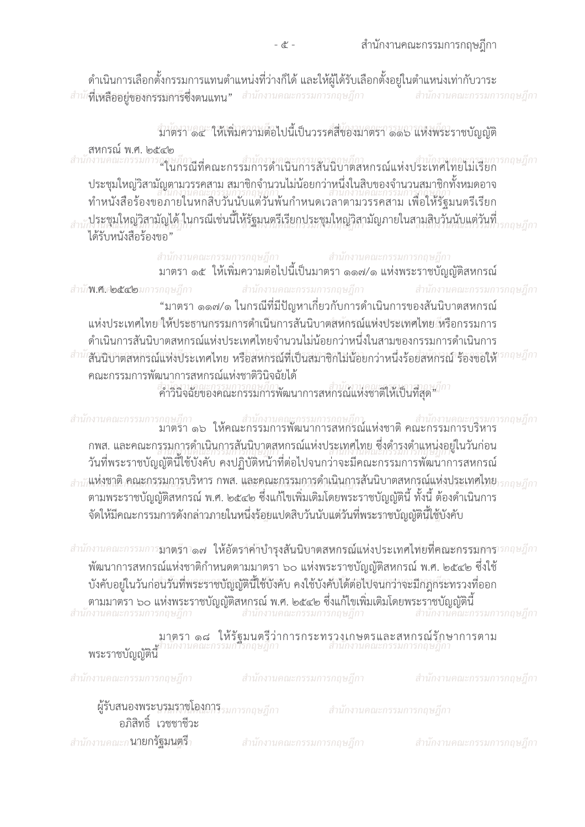้ ดำเนินการเลือกตั้งกรรมการแทนตำแหน่งที่ว่างก็ได้ และให้ผ้ได้รับเลือกตั้งอย่ในตำแหน่งเท่ากับวาระ สำนักที่เหลืออยู่ของกรรมการีซึ่งตนแทน" สำนักงานคณะกรรมการกฤษฎีกา สำนักงานคณะกรรมการกฤษฎีกา

้มาตรา ๑๔ ให้เพิ่มความต่อไปนี้เป็นวรรคสี่ของมาตรา ๑๑๖ แห่งพระราชบัญญัติ

สหกรณ์ พ.ศ. ๒๕๔๒ สำนักงานคณะกรรมการกลุษฎีกา<br>สำนักงานคณะกรรมการกลุษฎีกา<br>"ในกรณีที่คณะกรรมการดำเนินการสันนิบาตสหกรณ์แห่งประเทศไทยไมเรียก ้<br>ประชุมใหญ่วิสามัญตามวรรคสาม สมาชิกจำนวนไม่น้อยกว่าหนึ่งในสิบของจำนวนสมาชิกทั้งหมดอาจ ้ ทำหนังสือร้องขอภายในหกสิบวันนับแต่วันพ้นกำหนดเวลาตามวรรคสาม เพื่อให้รัฐมนตรีเรียก <sub>สำห</sub>ัประชุมใหญ่วิสามัญได้ ในกรณีเช่นนี้ให้รัฐมนตรีเรียกประชุมใหญ่วิสามัญภายในสามสิบว<sup>ั</sup>นนับแต่วันที่ ได้รับหนังสือร้องขอ"

> สำนักงานคณะกรรมการกฤษฎีกา สำนักงานคณะกรรมการกฤษฎีกา ยายการกระบวงงาวอยู่การการแกรม<br>มาตรา ๑๕ ให้เพิ่มความต่อไปนี้เป็นมาตรา ๑๑๗/๑ แห่งพระราชบัญญัติสหกรณ์

สำนักงานคณะกรรมการกฤษฎีกา สำนักง... คืออิธีอาการกฤษฎีกา สำนักงานคณะกรรมการกฤษฎีกา "มาตรา ๑๑๗/๑ ในกรณีที่มีปัญหาเกี่ยวกับการดำเนินการของสันนิบาตสหกรณ์ แห่งประเทศไทยให้ประธานกรรมการดำเนินการสันนิบาตสหกรณ์แห่งประเทศไทย เหรือกรรมการ ดำเนินการสันนิบาตสหกรณ์แห่งประเทศไทยจำนวนไม่น้อยกว่าหนึ่งในสามของกรรมการดำเนินการ สำนักสับนิบาตสหกรณ์แห่งประเทศไทย หรือสหกรณ์ที่เป็นสมาชิกไม่น้อยกว่าหนึ่งร้อยสหกรณ์ ร้องขอให้<sup>เรกฤษฎีกา</sup> คณะกรรมการพัฒนาการสหกรณ์แห่งชาติวินิจฉัยได้

สารนำเสียของคณะกรรมการพัฒนาการสหกรณ์แห่งชาติให้เป็นที่สุด" <sup>กา</sup>

สำนักงานคณะกรรมการกฤษฎีกา สำนักงานคณะกรรมการกฤษฎีกา สำนักงานคณะกรรมการกฤษฎีกา<br>มาตรา ๑๖ ให้คณะกรรมการพัฒนาการสหกรณ์แห่งชาติ คณะกรรมการบริหาร ึกพส. และคณะกรรมการดำเนินการสันนิบาตสหกรณ์แห่งประเทศไทย ซึ่งดำรงตำแหน่งอยู่ในวันก่อน ้วันที่พระราชบัญญัตินี้ใช้บังคับ คงปฏิบัติหน้าที่ต่อไปจนกว่าจะมีคณะกรรมการพัฒนาการสหกรณ์ กถนกี่กา ตามพระราชบัญญัติสหกรณ์ พ.ศ. ๒๕๔๒ ซึ่งแก้ไขเพิ่มเติมโดยพระราชบัญญัตินี้ ทั้งนี้ ต้องดำเนินการ จัดให้มีคณะกรรมการดังกล่าวภายในหนึ่งร้อยแปดสิบวันนับแต่วันที่พระราชบัญญัตินี้ใช้บังคับ

สำนักงานคณะกรรมการ**มาตรีกา๑๗ ให้อัตราค่าบำรุงสันนิบาตสหกรณ์แห่งประเทศไทยที่คณะกรรมการ**ารกฤษฎีกา พัฒนาการสหกรณ์แห่งชาติกำหนดตามมาตรา ๖๐ แห่งพระราชบัญญัติสหกรณ์ พ.ศ. ๒๕๔๒ ซึ่งใช้ ้บังคับอยู่ในวันก่อนวันที่พระราชบัญญัตินี้ใช้บังคับ คงใช้บังคับได้ต่อไปจนกว่าจะมีกฎกระทรวงที่ออก ุ ตามมาตรา ๖๐ แห่งพระราชบัญญัติสหกรณ์ พ.ศ. ๒๕๔๒ ซึ่งแก้ไขเพิ่มเติมโดยพระราชบัญญัตินี้<br>กงานคณะกรรมการกฤษฎีกา สำนักงานคณะกรรมการกฤษฎีกา สำนักงานคณะกรรมการกฤษฎีกา

| ิ มาตรา ๑๘ ไห้รัฐมนตรีว่าการกระทรวงเกษตรและสหกรณ์รักษาการตาม<br>พระราชบัญญัตินี้                  |  |  |
|---------------------------------------------------------------------------------------------------|--|--|
| สำนักงานคณะกรรมการกฤษฎีกา สำนักงานคณะกรรมการกฤษฎีกา สำนักงานคณะกรรมการกฤษฎีกา                     |  |  |
| <b>ผู้รับสนองพระบูรมราชโองการ</b> รมการกฤษฎีกา - สำนักงานคณะกรรมการกฤษฎีกา<br>อภิสิทธิ์ เวชชาชีวะ |  |  |

ี สำนักงานคณะก**<sup>ุ</sup>นายกรัฐมนตรี**า

สำนักงานคณะกรรมการกฤษฎีกา

ี่ สำนักงานคณะกรรมการกฤษฎีกา